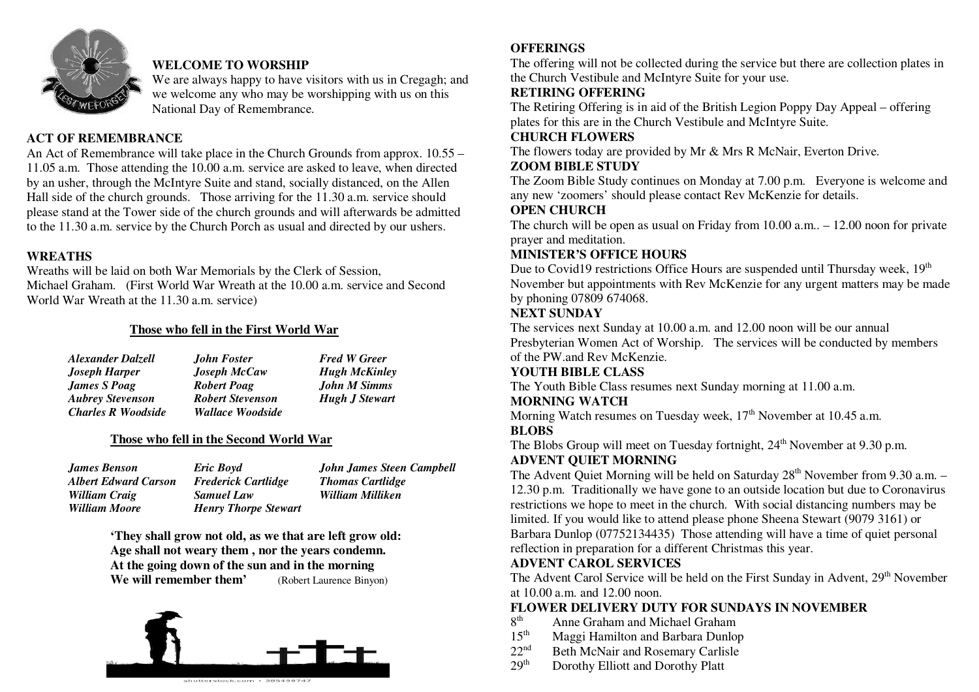

## **WELCOME TO WORSHIP**

 We are always happy to have visitors with us in Cregagh; and we welcome any who may be worshipping with us on this National Day of Remembrance.

## **ACT OF REMEMBRANCE**

 An Act of Remembrance will take place in the Church Grounds from approx. 10.55 – 11.05 a.m. Those attending the 10.00 a.m. service are asked to leave, when directed by an usher, through the McIntyre Suite and stand, socially distanced, on the Allen Hall side of the church grounds. Those arriving for the 11.30 a.m. service should please stand at the Tower side of the church grounds and will afterwards be admitted to the 11.30 a.m. service by the Church Porch as usual and directed by our ushers.

#### **WREATHS**

 Wreaths will be laid on both War Memorials by the Clerk of Session, Michael Graham. (First World War Wreath at the 10.00 a.m. service and Second World War Wreath at the 11.30 a.m. service)

## **Those who fell in the First World War**

| <b>Alexander Dalzell</b>  | <b>John Foster</b>      | <b>Fred W Greer</b>   |
|---------------------------|-------------------------|-----------------------|
| <b>Joseph Harper</b>      | <b>Joseph McCaw</b>     | <b>Hugh McKinley</b>  |
| <b>James S Poag</b>       | <b>Robert Poag</b>      | <b>John M Simms</b>   |
| <b>Aubrey Stevenson</b>   | <b>Robert Stevenson</b> | <b>Hugh J Stewart</b> |
| <b>Charles R Woodside</b> | Wallace Woodside        |                       |

## **Those who fell in the Second World War**

| James Benson                | Eric Boyd                   | <b>John James Steen Campbell</b> |
|-----------------------------|-----------------------------|----------------------------------|
| <b>Albert Edward Carson</b> | <b>Frederick Cartlidge</b>  | <b>Thomas Cartlidge</b>          |
| William Craig               | <b>Samuel Law</b>           | William Milliken                 |
| William Moore               | <b>Henry Thorpe Stewart</b> |                                  |

**'They shall grow not old, as we that are left grow old: Age shall not weary them , nor the years condemn. At the going down of the sun and in the morning We will remember them'**(Robert Laurence Binyon)



## **OFFERINGS**

 The offering will not be collected during the service but there are collection plates in the Church Vestibule and McIntyre Suite for your use.

## **RETIRING OFFERING**

 The Retiring Offering is in aid of the British Legion Poppy Day Appeal – offering plates for this are in the Church Vestibule and McIntyre Suite.

#### **CHURCH FLOWERS**

The flowers today are provided by Mr & Mrs R McNair, Everton Drive.

## **ZOOM BIBLE STUDY**

 The Zoom Bible Study continues on Monday at 7.00 p.m. Everyone is welcome and any new 'zoomers' should please contact Rev McKenzie for details.

## **OPEN CHURCH**

 The church will be open as usual on Friday from 10.00 a.m.. – 12.00 noon for private prayer and meditation.

## **MINISTER'S OFFICE HOURS**

Due to Covid19 restrictions Office Hours are suspended until Thursday week, 19<sup>th</sup> November but appointments with Rev McKenzie for any urgent matters may be made by phoning 07809 674068.

## **NEXT SUNDAY**

 The services next Sunday at 10.00 a.m. and 12.00 noon will be our annual Presbyterian Women Act of Worship. The services will be conducted by members of the PW.and Rev McKenzie.

## **YOUTH BIBLE CLASS**

The Youth Bible Class resumes next Sunday morning at 11.00 a.m.

## **MORNING WATCH**

Morning Watch resumes on Tuesday week, 17<sup>th</sup> November at 10.45 a.m.

## **BLOBS**

The Blobs Group will meet on Tuesday fortnight, 24<sup>th</sup> November at 9.30 p.m. **ADVENT QUIET MORNING** 

The Advent Quiet Morning will be held on Saturday  $28<sup>th</sup>$  November from 9.30 a.m.  $-$  12.30 p.m. Traditionally we have gone to an outside location but due to Coronavirus restrictions we hope to meet in the church. With social distancing numbers may be limited. If you would like to attend please phone Sheena Stewart (9079 3161) or Barbara Dunlop (07752134435) Those attending will have a time of quiet personal reflection in preparation for a different Christmas this year.

## **ADVENT CAROL SERVICES**

The Advent Carol Service will be held on the First Sunday in Advent, 29<sup>th</sup> November at 10.00 a.m. and 12.00 noon.

## **FLOWER DELIVERY DUTY FOR SUNDAYS IN NOVEMBER**

- 8<sup>th</sup> Anne Graham and Michael Graham
- 15<sup>th</sup> Maggi Hamilton and Barbara Dunlop
- $22<sup>nd</sup>$  Beth McNair and Rosemary Carlisle<br>  $29<sup>th</sup>$  Dorothy Elliott and Dorothy Platt
- Dorothy Elliott and Dorothy Platt